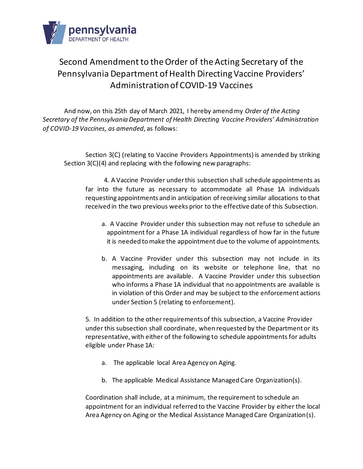

## Second Amendment to the Order of the Acting Secretary of the Pennsylvania Department of Health Directing Vaccine Providers' Administration of COVID-19 Vaccines

And now, on this 25th day of March 2021, I hereby amend my *Order of the Acting Secretary of the Pennsylvania Department of Health Directing Vaccine Providers' Administration of COVID-19 Vaccines, as amended*, as follows:

Section 3(C) (relating to Vaccine Providers Appointments) is amended by striking Section 3(C)(4) and replacing with the following new paragraphs:

4. A Vaccine Provider under this subsection shall schedule appointments as far into the future as necessary to accommodate all Phase 1A individuals requesting appointments and in anticipation of receiving similar allocations to that received in the two previous weeks prior to the effective date of this Subsection.

- a. A Vaccine Provider under this subsection may not refuse to schedule an appointment for a Phase 1A individual regardless of how far in the future it is needed to make the appointment due to the volume of appointments.
- b. A Vaccine Provider under this subsection may not include in its messaging, including on its website or telephone line, that no appointments are available. A Vaccine Provider under this subsection who informs a Phase 1A individual that no appointments are available is in violation of this Order and may be subject to the enforcement actions under Section 5 (relating to enforcement).

5. In addition to the other requirements of this subsection, a Vaccine Provider under this subsection shall coordinate, when requested by the Department or its representative, with either of the following to schedule appointments for adults eligible under Phase 1A:

- a. The applicable local Area Agency on Aging.
- b. The applicable Medical Assistance Managed Care Organization(s).

Coordination shall include, at a minimum, the requirement to schedule an appointment for an individual referred to the Vaccine Provider by either the local Area Agency on Aging or the Medical Assistance Managed Care Organization(s).